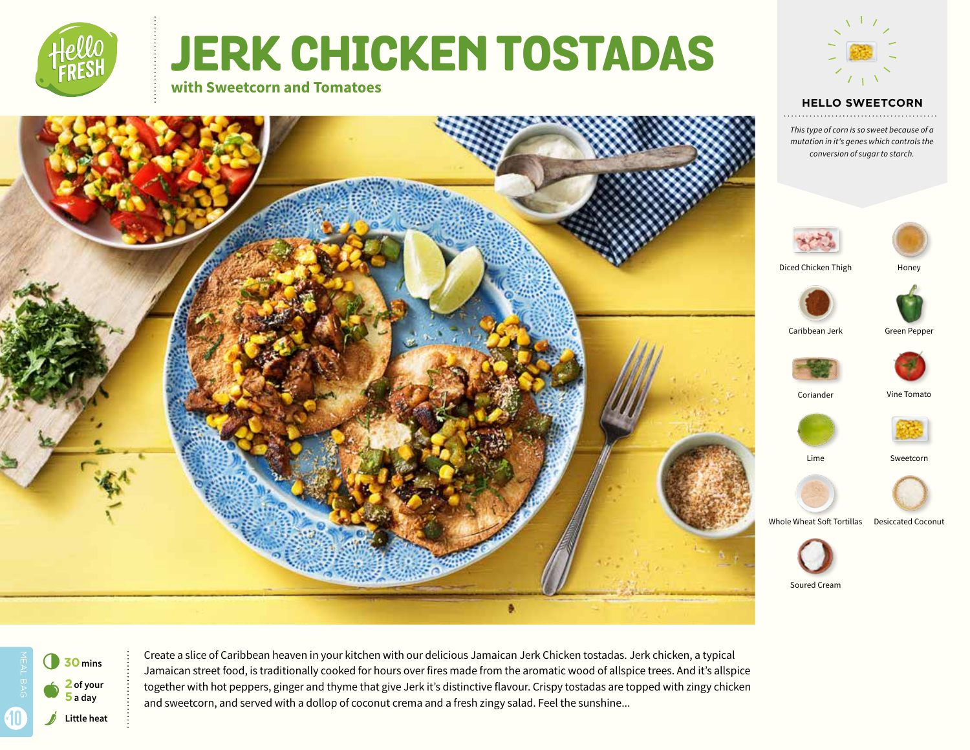

# **JERK CHICKEN TOSTADAS with Sweetcorn and Tomatoes**



**HELLO SWEETCORN** 

*This type of corn is so sweet because of a mutation in it's genes which controls the conversion of sugar to starch.*





Create a slice of Caribbean heaven in your kitchen with our delicious Jamaican Jerk Chicken tostadas. Jerk chicken, a typical Jamaican street food, is traditionally cooked for hours over fires made from the aromatic wood of allspice trees. And it's allspice together with hot peppers, ginger and thyme that give Jerk it's distinctive flavour. Crispy tostadas are topped with zingy chicken and sweetcorn, and served with a dollop of coconut crema and a fresh zingy salad. Feel the sunshine...